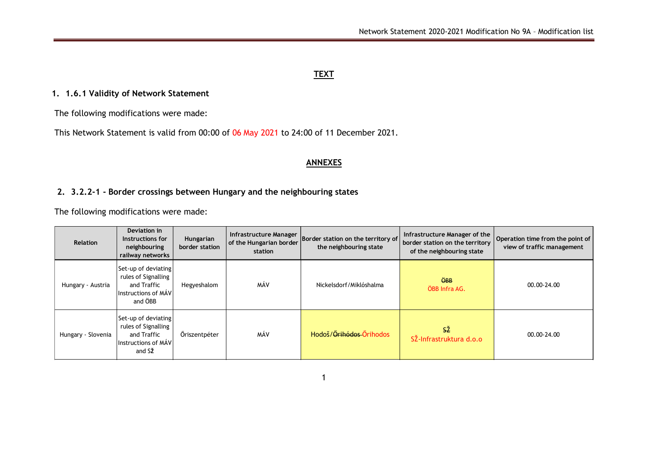## **TEXT**

## **1. 1.6.1 Validity of Network Statement**

The following modifications were made:

This Network Statement is valid from 00:00 of 06 May 2021 to 24:00 of 11 December 2021.

## **ANNEXES**

## **2. 3.2.2-1 - Border crossings between Hungary and the neighbouring states**

The following modifications were made:

| <b>Relation</b>    | Deviation in<br>Instructions for<br>neighbouring<br>railway networks                        | Hungarian<br>border station | Infrastructure Manager<br>of the Hungarian border<br>station | Border station on the territory of<br>the neighbouring state | Infrastructure Manager of the<br>border station on the territory<br>of the neighbouring state | Operation time from the point of<br>view of traffic management |
|--------------------|---------------------------------------------------------------------------------------------|-----------------------------|--------------------------------------------------------------|--------------------------------------------------------------|-----------------------------------------------------------------------------------------------|----------------------------------------------------------------|
| Hungary - Austria  | Set-up of deviating<br>rules of Signalling<br>and Traffic<br>Instructions of MÁV<br>and ÖBB | Hegyeshalom                 | MÁV                                                          | Nickelsdorf/Miklóshalma                                      | <b>ÖBB</b><br>ÖBB Infra AG.                                                                   | $00.00 - 24.00$                                                |
| Hungary - Slovenia | Set-up of deviating<br>rules of Signalling<br>and Traffic<br>Instructions of MAV<br>and SŽ  | Öriszentpéter               | MÁV                                                          | Hodoš/ <del>Őrihódos</del> -Őrihodos                         | SŽ<br>SŽ-Infrastruktura d.o.o                                                                 | 00.00-24.00                                                    |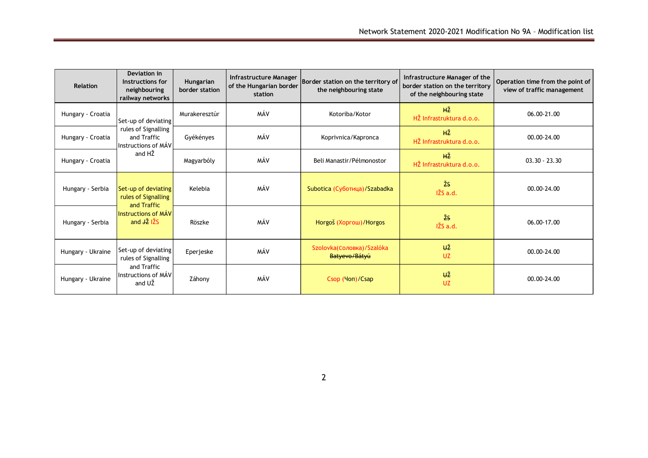| <b>Relation</b>   | Deviation in<br>Instructions for<br>neighbouring<br>railway networks          | Hungarian<br>border station | Infrastructure Manager<br>of the Hungarian border<br>station | Border station on the territory of<br>the neighbouring state | Infrastructure Manager of the<br>border station on the territory<br>of the neighbouring state | Operation time from the point of<br>view of traffic management |
|-------------------|-------------------------------------------------------------------------------|-----------------------------|--------------------------------------------------------------|--------------------------------------------------------------|-----------------------------------------------------------------------------------------------|----------------------------------------------------------------|
| Hungary - Croatia | Set-up of deviating                                                           | Murakeresztúr               | MÁV                                                          | Kotoriba/Kotor                                               | HŽ<br>HŽ Infrastruktura d.o.o.                                                                | 06.00-21.00                                                    |
| Hungary - Croatia | rules of Signalling<br>and Traffic<br>Instructions of MÁV                     | Gyékényes                   |                                                              | Koprivnica/Kapronca                                          | <b>HŽ</b><br>HŽ Infrastruktura d.o.o.                                                         | $00.00 - 24.00$                                                |
| Hungary - Croatia | and HŽ                                                                        | Magyarbóly                  | MÁV                                                          | Beli Manastir/Pélmonostor                                    | <b>HŽ</b><br>HŽ Infrastruktura d.o.o.                                                         | $03.30 - 23.30$                                                |
| Hungary - Serbia  | Set-up of deviating<br>rules of Signalling<br>and Traffic                     | Kelebia                     | MÁV                                                          | Subotica (Суботица)/Szabadka                                 | ŽS<br>IŽS a.d.                                                                                | 00.00-24.00                                                    |
| Hungary - Serbia  | <b>Instructions of MÁV</b><br>and $\overrightarrow{12}$ $\overrightarrow{25}$ | Röszke                      | MÁV                                                          | Horgoš (Хоргош)/Horgos                                       | ŽS<br>IŽS a.d.                                                                                | 06.00-17.00                                                    |
| Hungary - Ukraine | Set-up of deviating<br>rules of Signalling                                    | Eperjeske                   | MÁV                                                          | Szolovka(Соловка)/Szalóka<br>Batyevo/Bátyú                   | <b>UŽ</b><br>UZ                                                                               | 00.00-24.00                                                    |
| Hungary - Ukraine | and Traffic<br>Instructions of MÁV<br>and UŽ                                  | Záhony                      | MÁV                                                          | Csop (Чоп)/Csap                                              | <b>UŽ</b><br><b>UZ</b>                                                                        | 00.00-24.00                                                    |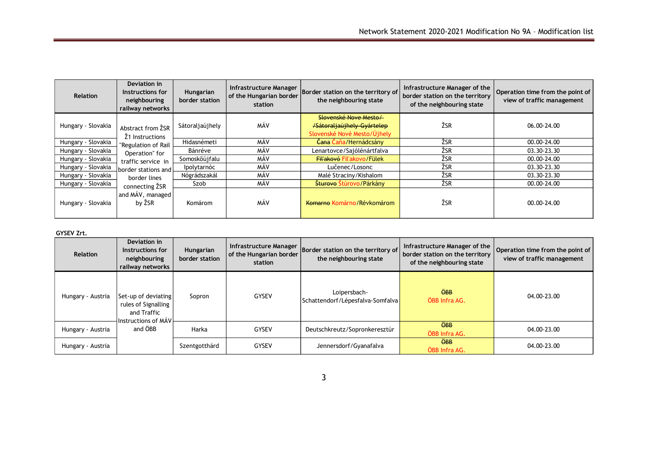| <b>Relation</b>    | Deviation in<br>Instructions for<br>neighbouring<br>railway networks | Hungarian<br>border station | Infrastructure Manager<br>of the Hungarian border<br>station | Border station on the territory of<br>the neighbouring state                       | Infrastructure Manager of the<br>border station on the territory<br>of the neighbouring state | Operation time from the point of<br>view of traffic management |
|--------------------|----------------------------------------------------------------------|-----------------------------|--------------------------------------------------------------|------------------------------------------------------------------------------------|-----------------------------------------------------------------------------------------------|----------------------------------------------------------------|
| Hungary - Slovakia | Abstract from $\Sigma$ SR<br>Ž1 Instructions                         | Sátoraljaújhely             | MÁV                                                          | Slovenské Nove Mesto/<br>/Sátoraljaújhely-Gyártelep<br>Slovenské Nové Mesto/Újhely | ŽSR                                                                                           | 06.00-24.00                                                    |
| Hungary - Slovakia | "Regulation of Rail                                                  | Hidasnémeti                 | MÁV                                                          | Čana Čaňa/Hernádcsány                                                              | ŽSR                                                                                           | 00.00-24.00                                                    |
| Hungary - Slovakia | Operation" for                                                       | Bánréve                     | MÁV                                                          | Lenartovce/Sajólénártfalva                                                         | ŽSR                                                                                           | 03.30-23.30                                                    |
| Hungary - Slovakia | traffic service in                                                   | Somoskőújfalu               | MÁV                                                          | Fil'akovó Fil'akovo/Fülek                                                          | ŽSR                                                                                           | 00.00-24.00                                                    |
| Hungary - Slovakia | border stations and L                                                | Ipolytarnóc                 | MÁV                                                          | Lučenec/Losonc                                                                     | ŽSR                                                                                           | 03.30-23.30                                                    |
| Hungary - Slovakia | border lines                                                         | Nógrádszakál                | MÁV                                                          | Malé Straciny/Kishalom                                                             | ŽSR                                                                                           | 03.30-23.30                                                    |
| Hungary - Slovakia | connecting ZSR                                                       | Szob                        | MÁV                                                          | Šturovo Štúrovo/Párkány                                                            | ŽSR                                                                                           | 00.00-24.00                                                    |
| Hungary - Slovakia | and MÁV, managed<br>by ŽSR                                           | Komárom                     | MÁV                                                          | Komarno Komárno/Révkomárom                                                         | ŽSR                                                                                           | 00.00-24.00                                                    |

### **GYSEV Zrt.**

| <b>Relation</b>   | Deviation in<br>Instructions for<br>neighbouring<br>railway networks             | Hungarian<br>border station | Infrastructure Manager<br>of the Hungarian border<br>station | Border station on the territory of<br>the neighbouring state | Infrastructure Manager of the<br>border station on the territory<br>of the neighbouring state | Operation time from the point of<br>view of traffic management |
|-------------------|----------------------------------------------------------------------------------|-----------------------------|--------------------------------------------------------------|--------------------------------------------------------------|-----------------------------------------------------------------------------------------------|----------------------------------------------------------------|
| Hungary - Austria | Set-up of deviating<br>rules of Signalling<br>and Traffic<br>Instructions of MAV | Sopron                      | <b>GYSEV</b>                                                 | Loipersbach-<br>Schattendorf/Lépesfalva-Somfalva             | $\ddot{\Theta}$ BB<br>ÖBB Infra AG.                                                           | 04.00-23.00                                                    |
| Hungary - Austria | and ÖBB<br>Harka                                                                 |                             | GYSEV                                                        | Deutschkreutz/Sopronkeresztúr                                | <b>ÖBB</b><br>ÖBB Infra AG.                                                                   | 04.00-23.00                                                    |
| Hungary - Austria |                                                                                  | Szentgotthárd               | GYSEV                                                        | Jennersdorf/Gyanafalva                                       | $\ddot{\Theta}$ BB<br>ÖBB Infra AG.                                                           | 04.00-23.00                                                    |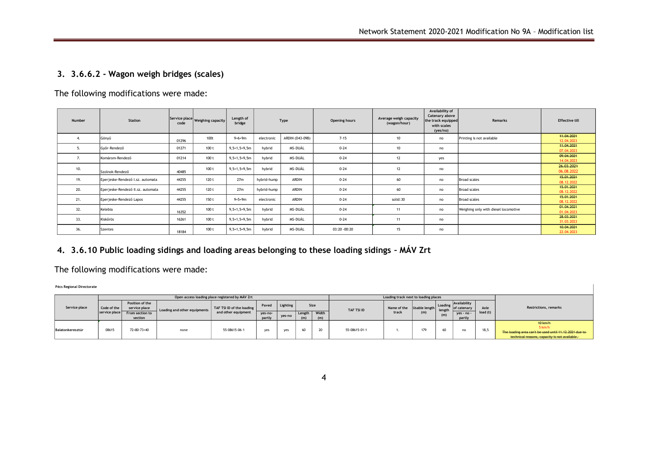## **3. 3.6.6.2 - Wagon weigh bridges (scales)**

| Number | <b>Station</b>                    |       | Service place Weighing capacity | Length of<br>bridge | Type        |                 | Opening hours | Average weigh capacity<br>(wagon/hour) | Availability of<br>Catenary above<br>the track equipped<br>with scales<br>(yes/no) | <b>Remarks</b>                       | <b>Effective till</b>    |
|--------|-----------------------------------|-------|---------------------------------|---------------------|-------------|-----------------|---------------|----------------------------------------|------------------------------------------------------------------------------------|--------------------------------------|--------------------------|
|        | Gönyű                             | 01296 | 100t                            | $9+6+9m$            | electronic  | ARDIN (D43-09B) | $7 - 15$      | 10                                     | no                                                                                 | Printing is not available            | 44.04.2024<br>12.04.2023 |
| ъ.     | Győr-Rendező                      | 01271 | 100t                            | $9, 5+1, 5+9, 5m$   | hybrid      | MS-DUÁL         | $0 - 24$      | 10                                     | no                                                                                 |                                      | 11.04.2021<br>07.04.2023 |
| 7.     | Komárom-Rendező                   | 01214 | 100t                            | $9, 5+1, 5+9, 5m$   | hybrid      | MS-DUÁL         | $0 - 24$      | 12                                     | yes                                                                                |                                      | 09.04.2021<br>14.04.2023 |
| 10.    | Szolnok-Rendező                   | 40485 | 100t                            | $9, 5+1, 5+9, 5m$   | hybrid      | MS-DUÁL         | $0 - 24$      | 12                                     | no                                                                                 |                                      | 26.03.2024<br>06.08.2022 |
| 19.    | Eperjeske-Rendező I.sz. automata  | 44255 | 120 t                           | 27m                 | hybrid-hump | <b>ARDIN</b>    | $0 - 24$      | 60                                     | no                                                                                 | <b>Broad scales</b>                  | 45.01.2024<br>08.12.2022 |
| 20.    | Eperjeske-Rendező II.sz. automata | 44255 | 120 t                           | 27m                 | hybrid-hump | <b>ARDIN</b>    | $0 - 24$      | 60                                     | no                                                                                 | <b>Broad scales</b>                  | 45.01.2021<br>08.12.2022 |
| 21.    | Eperjeske-Rendező Lapos           | 44255 | 150 t                           | $9+5+9m$            | electronic  | ARDIN           | $0 - 24$      | solid: 30                              | no                                                                                 | <b>Broad scales</b>                  | 45.01.2021<br>08.12.2022 |
| 32.    | Kelebia                           | 16352 | 100t                            | $9, 5+1, 5+9, 5m$   | hybrid      | MS-DUÁL         | $0 - 24$      | 11                                     | no                                                                                 | Weighing only with diesel locomotive | 01.04.2021<br>01.04.2023 |
| 33.    | Kiskőrös                          | 16261 | 100 t                           | $9, 5+1, 5+9, 5m$   | hybrid      | MS-DUÁL         | $0 - 24$      | 11                                     | no                                                                                 |                                      | 28.03.2021<br>31.03.2023 |
| 36.    | Szentes                           | 18184 | 100 t                           | $9, 5+1, 5+9, 5m$   | hybrid      | MS-DUÁL         | 03:20 - 00:20 | 15                                     | no                                                                                 |                                      | 40.04.2024<br>22.04.2023 |

The following modifications were made:

# **4. 3.6.10 Public loading sidings and loading areas belonging to these loading sidings – MÁV Zrt**

## The following modifications were made:

**Pécs Regional Directorate**

| Service place    |                              |                                  | Open access loading place registered by MÁV Zrt |                                                  |                   | Loading track next to loading places |        |       |               |                           |     |                   |                                    |          |                                                                                                                                     |  |
|------------------|------------------------------|----------------------------------|-------------------------------------------------|--------------------------------------------------|-------------------|--------------------------------------|--------|-------|---------------|---------------------------|-----|-------------------|------------------------------------|----------|-------------------------------------------------------------------------------------------------------------------------------------|--|
|                  | Code of the<br>service place | Position of the<br>service place | Loading and other equipments                    | TAF TSI ID of the loading<br>and other equipment | Paved             | Lighting                             | Size   |       | TAF TSI ID    | Name of the Usable length |     | Loading<br>length | <b>Availability</b><br>of catenary | Axle     | <b>Restrictions, remarks</b>                                                                                                        |  |
|                  |                              | From section to<br>section       |                                                 |                                                  | yes-no-<br>partly | ves-no                               | Length | Width |               | track                     | (m) | (m)               | yes - no -<br>partly               | load (t) |                                                                                                                                     |  |
| Balatonkeresztúr | 08615                        | $72+80-73+40$                    | none                                            | 55-08615-06-1                                    | ves               | yes                                  | 60     |       | 55-08615-01-1 |                           |     | 60                | no                                 | 18,5     | <b>10 km/h</b><br>5 km/h<br>The loading area can't be used until 11.12.2021 due to<br>technical reasons, capacity is not available. |  |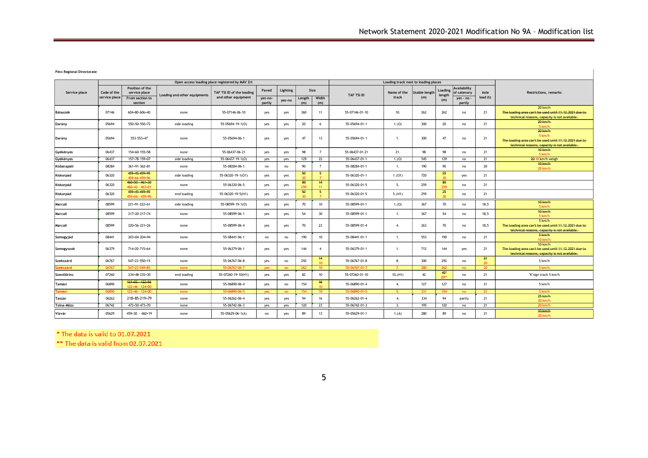**Pécs Regional Directorate**

|               |                              |                                                                |                              | Open access loading place registered by MÁV Zrt  |                            |                    |               |                            |                | Loading track next to loading places |                             |                          |                                                     |                  |                                                                                                                                 |
|---------------|------------------------------|----------------------------------------------------------------|------------------------------|--------------------------------------------------|----------------------------|--------------------|---------------|----------------------------|----------------|--------------------------------------|-----------------------------|--------------------------|-----------------------------------------------------|------------------|---------------------------------------------------------------------------------------------------------------------------------|
| Service place | Code of the<br>service place | Position of the<br>service place<br>From section to<br>section | Loading and other equipments | TAF TSI ID of the loading<br>and other equipment | Paved<br>yes-no-<br>partly | Lighting<br>yes-no | Length<br>(m) | Size<br>Width<br>(m)       | TAF TSI ID     | Name of the<br>track                 | <b>Jsable lengti</b><br>(m) | Loading<br>length<br>(m) | Availability<br>of catenary<br>yes - no -<br>partly | Axle<br>load (t) | <b>Restrictions, remarks</b>                                                                                                    |
| Bátaszék      | 07146                        | 604+80-606+40                                                  | none                         | 55-07146-06-10                                   | yes                        | yes                | 360           | 11                         | 55-07146-01-10 | 10.                                  | 262                         | 262                      | no                                                  | 21               | $20$ km/h<br>The loading area can't be used until 11.12.2021 due to<br>technical reasons, capacity is not available.            |
| Darány        | 05694                        | 550+50-550+72                                                  | side loading                 | 55-05694-19-1(0)                                 | yes                        | yes                | 20            | 6                          | 55-05694-01-1  | 1.(0)                                | 300                         | 20                       | no                                                  | 21               | $20$ km/h<br>5 km/h                                                                                                             |
| Darány        | 05694                        | 553-553+47                                                     | none                         | 55-05694-06-1                                    | yes                        | yes                | 47            | 13                         | 55-05694-01-1  | -1.                                  | 300                         | 47                       | no                                                  | 21               | $20$ km/h<br>5 km/h<br>The loading area can't be used until 11.12.2021 due to-<br>technical reasons, capacity is not available. |
| Gyékényes     | 06437                        | 154+60-155+58                                                  | none                         | 55-06437-06-21                                   | yes                        | yes                | 98            | $\overline{7}$             | 55-06437-01-21 | 21.                                  | 98                          | 98                       | no                                                  | 21               | <b>10 km/h</b><br>5 km/h                                                                                                        |
| Gyékényes     | 06437                        | 157+78-159+07                                                  | side loading                 | 55-06437-19-1(0)                                 | yes                        | yes                | 129           | 22                         | 55-06437-01-1  | 1.(0)                                | 545                         | 129                      | no                                                  | 21               | 20-10 km/h weigh                                                                                                                |
| Kisbárapáti   | 08284                        | $361+91-362+81$                                                | none                         | 55-08284-06-1                                    | no                         | no                 | 90            | $\overline{7}$             | 55-08284-01-1  | $\overline{1}$                       | 190                         | 90                       | no                                                  | 20               | <b>10 km/h</b><br>20 km/h                                                                                                       |
| Kiskorpád     | 06320                        | 459+45-459+95<br>459+66-459+96                                 | side loading                 | 55-06320-19-1(01)                                | yes                        | yes                | 50            | 5                          | 55-06320-01-1  | 1.(01)                               | 720                         | 25<br>30 <sub>1</sub>    | yes                                                 | 21               |                                                                                                                                 |
| Kiskorpád     | 06320                        | $460+50-461+30$<br>$460+42 - 463+01$                           | none                         | 55-06320-06-5                                    | yes                        | yes                | 80<br>259     | 44<br>11                   | 55-06320-01-5  | -5.                                  | 259                         | 80<br>259                | no                                                  | 21               |                                                                                                                                 |
| Kiskorpád     | 06320                        | 459+45 459+95<br>$459+66 - 459+96$                             | end loading                  | 55-06320-19-5(H1)                                | yes                        | yes                | 50            | 5 <sub>1</sub>             | 55-06320-01-5  | 5.(H1)                               | 259                         | 25<br>30 <sub>1</sub>    | no                                                  | 21               |                                                                                                                                 |
| Marcali       | 08599                        | 221+91-222+61                                                  | side loading                 | 55-08599-19-1(0)                                 | yes                        | yes                | 70            | 10                         | 55-08599-01-1  | 1.(0)                                | 367                         | 70                       | no                                                  | 18,5             | <b>10 km/h</b><br>5 km/h                                                                                                        |
| Marcali       | 08599                        | 217+20-217+74                                                  | none                         | 55-08599-06-1                                    | yes                        | yes                | 54            | 30                         | 55-08599-01-1  | -1.                                  | 367                         | 54                       | no                                                  | 18,5             | 10 km/h<br>5 km/h                                                                                                               |
| Marcali       | 08599                        | 220+56-221+26                                                  | none                         | 55-08599-06-4                                    | yes                        | yes                | 70            | 23                         | 55-08599-01-4  | $\overline{4}$                       | 263                         | 70                       | no                                                  | 18,5             | 5 km/h<br>The loading area can't be used until 11.12.2021 due to-<br>technical reasons, capacity is not available.              |
| Somogyjád     | 08441                        | 203+04-204+94                                                  | none                         | 55-08441-06-1                                    | no                         | no                 | 190           | 10 <sup>10</sup>           | 55-08441-01-1  | $\overline{1}$                       | 553                         | 190                      | no                                                  | 21               | 5km/h<br>10 km/h                                                                                                                |
| Somogyszob    | 06379                        | 714+20-715+64                                                  | none                         | 55-06379-06-1                                    | yes                        | yes                | 144           | $\overline{4}$             | 55-06379-01-1  | $\overline{1}$ .                     | 712                         | 144                      | yes                                                 | 21               | 10 km/h<br>The loading area can't be used until 11.12.2021 due to-<br>technical reasons, capacity is not available.             |
| Szekszárd     | 06767                        | 547+23-550+15                                                  | none                         | 55-06767-06-8                                    | yes                        | no                 | 292           | 44<br>$10-10$              | 55-06767-01-8  | 8.                                   | 300                         | 292                      | no                                                  | 24<br>20         | 5 km/h                                                                                                                          |
| izekszárd     | 06767                        | 547+23-549+85                                                  | none                         | 55-06767-06-7                                    | ves                        | no                 | 262           | 10 <sup>10</sup>           | 55-06767-01-7  |                                      | 280                         | 262                      | no                                                  | 20               | 5 km/h                                                                                                                          |
| Szentlőrinc   | 07260                        | 234+48-235+30                                                  | end loading                  | 55-07260-19-10(H1)                               | yes                        | yes                | 82            | 10 <sub>1</sub>            | 55-07260-01-10 | 10.(H1)                              | 42                          | $42*$<br>$20**$          | no                                                  | 21               | "K"sign track 5 km/h                                                                                                            |
| Tamási        | 06890                        | $421 + 02 - 122 + 56$<br>$122+46 - 124+00$                     | none                         | 55-06890-06-4                                    | yes                        | no                 | 154           | 46 <sup>°</sup><br>$10-10$ | 55-06890-01-4  | 4.                                   | 127                         | 127                      | no                                                  | 21               | 5 km/h                                                                                                                          |
| <b>Tamási</b> | 06890                        | $122+46 - 124+00$                                              | none                         | 55-06890-06-5                                    | yes                        | no                 | 154           | $10-10$                    | 55-06890-01-5  |                                      | 331                         | 154                      | no                                                  | $21 -$           | 5 km/h                                                                                                                          |
| Taszár        | 06262                        | 218+85-219+79                                                  | none                         | 55-06262-06-4                                    | yes                        | yes                | 94            | 16                         | 55-06262-01-4  | $\overline{4}$                       | 334                         | 94                       | partly                                              | 21               | 25 km/h<br>20 km/h                                                                                                              |
| Tolna-Mözs    | 06742                        | 472+50-473+70                                                  | none                         | 55-06742-06-3                                    | yes                        | yes                | 120           | 23                         | 55-06742-01-3  | 3.                                   | 195                         | 120                      | no                                                  | 21               | 20 km/h                                                                                                                         |
| Vízvár        | 05629                        | $459+30 - 460+19$                                              | none                         | 55-05629-06-1(A)                                 | no                         | yes                | 89            | 13                         | 55-05629-01-1  | 1.(A)                                | 280                         | 89                       | no                                                  | 21               | <b>40 km/h</b><br>20 km/h                                                                                                       |

\* The data is valid to 01.07.2021

\*\* The data is valid from 02.07.2021